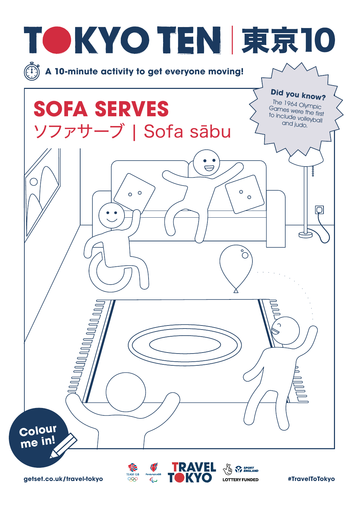